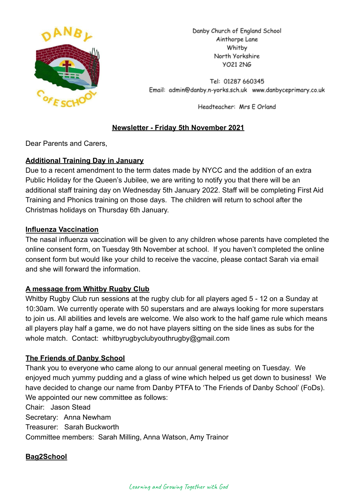

Danby Church of England School Ainthorpe Lane Whitby North Yorkshire **VO21 2NG** 

Tel: 01287 660345 Email: admin@danby.n-yorks.sch.uk www.danbyceprimary.co.uk

Headteacher: Mrs E Orland

# **Newsletter - Friday 5th November 2021**

Dear Parents and Carers,

# **Additional Training Day in January**

Due to a recent amendment to the term dates made by NYCC and the addition of an extra Public Holiday for the Queen's Jubilee, we are writing to notify you that there will be an additional staff training day on Wednesday 5th January 2022. Staff will be completing First Aid Training and Phonics training on those days. The children will return to school after the Christmas holidays on Thursday 6th January.

# **Influenza Vaccination**

The nasal influenza vaccination will be given to any children whose parents have completed the online consent form, on Tuesday 9th November at school. If you haven't completed the online consent form but would like your child to receive the vaccine, please contact Sarah via email and she will forward the information.

# **A message from Whitby Rugby Club**

Whitby Rugby Club run sessions at the rugby club for all players aged 5 - 12 on a Sunday at 10:30am. We currently operate with 50 superstars and are always looking for more superstars to join us. All abilities and levels are welcome. We also work to the half game rule which means all players play half a game, we do not have players sitting on the side lines as subs for the whole match. Contact: whitbyrugbyclubyouthrugby@gmail.com

### **The Friends of Danby School**

Thank you to everyone who came along to our annual general meeting on Tuesday. We enjoyed much yummy pudding and a glass of wine which helped us get down to business! We have decided to change our name from Danby PTFA to 'The Friends of Danby School' (FoDs). We appointed our new committee as follows:

Chair: Jason Stead Secretary: Anna Newham Treasurer: Sarah Buckworth Committee members: Sarah Milling, Anna Watson, Amy Trainor

### **Bag2School**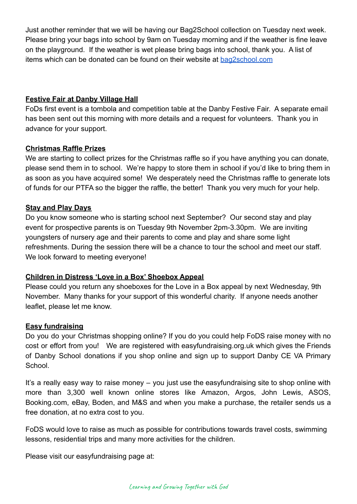Just another reminder that we will be having our Bag2School collection on Tuesday next week. Please bring your bags into school by 9am on Tuesday morning and if the weather is fine leave on the playground. If the weather is wet please bring bags into school, thank you. A list of items which can be donated can be found on their website at [bag2school.com](https://bag2school.com/what-we-collect)

### **Festive Fair at Danby Village Hall**

FoDs first event is a tombola and competition table at the Danby Festive Fair. A separate email has been sent out this morning with more details and a request for volunteers. Thank you in advance for your support.

### **Christmas Raffle Prizes**

We are starting to collect prizes for the Christmas raffle so if you have anything you can donate, please send them in to school. We're happy to store them in school if you'd like to bring them in as soon as you have acquired some! We desperately need the Christmas raffle to generate lots of funds for our PTFA so the bigger the raffle, the better! Thank you very much for your help.

### **Stay and Play Days**

Do you know someone who is starting school next September? Our second stay and play event for prospective parents is on Tuesday 9th November 2pm-3.30pm. We are inviting youngsters of nursery age and their parents to come and play and share some light refreshments. During the session there will be a chance to tour the school and meet our staff. We look forward to meeting everyone!

### **Children in Distress 'Love in a Box' Shoebox Appeal**

Please could you return any shoeboxes for the Love in a Box appeal by next Wednesday, 9th November. Many thanks for your support of this wonderful charity. If anyone needs another leaflet, please let me know.

### **Easy fundraising**

Do you do your Christmas shopping online? If you do you could help FoDS raise money with no cost or effort from you! We are registered with easyfundraising.org.uk which gives the Friends of Danby School donations if you shop online and sign up to support Danby CE VA Primary School.

It's a really easy way to raise money – you just use the easyfundraising site to shop online with more than 3,300 well known online stores like Amazon, Argos, John Lewis, ASOS, Booking.com, eBay, Boden, and M&S and when you make a purchase, the retailer sends us a free donation, at no extra cost to you.

FoDS would love to raise as much as possible for contributions towards travel costs, swimming lessons, residential trips and many more activities for the children.

Please visit our easyfundraising page at: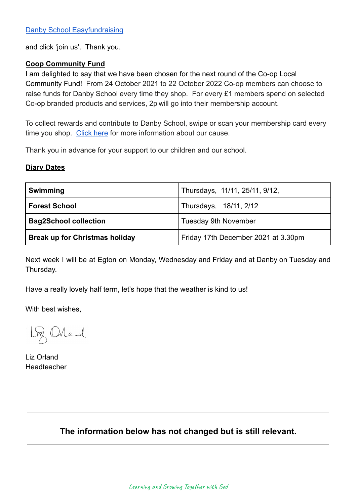and click 'join us'. Thank you.

#### **Coop Community Fund**

I am delighted to say that we have been chosen for the next round of the Co-op Local Community Fund! From 24 October 2021 to 22 October 2022 Co-op members can choose to raise funds for Danby School every time they shop. For every £1 members spend on selected Co-op branded products and services, 2p will go into their membership account.

To collect rewards and contribute to Danby School, swipe or scan your membership card every time you shop. [Click here](https://co-operate.coop.co.uk/groups/danby-church-of-england-primary-school/) for more information about our cause.

Thank you in advance for your support to our children and our school.

#### **Diary Dates**

| <b>Swimming</b>                       | Thursdays, 11/11, 25/11, 9/12,      |
|---------------------------------------|-------------------------------------|
| <b>Forest School</b>                  | Thursdays, 18/11, 2/12              |
| <b>Bag2School collection</b>          | <b>Tuesday 9th November</b>         |
| <b>Break up for Christmas holiday</b> | Friday 17th December 2021 at 3.30pm |

Next week I will be at Egton on Monday, Wednesday and Friday and at Danby on Tuesday and Thursday.

Have a really lovely half term, let's hope that the weather is kind to us!

With best wishes,

Loz Orland

Liz Orland Headteacher

# **The information below has not changed but is still relevant.**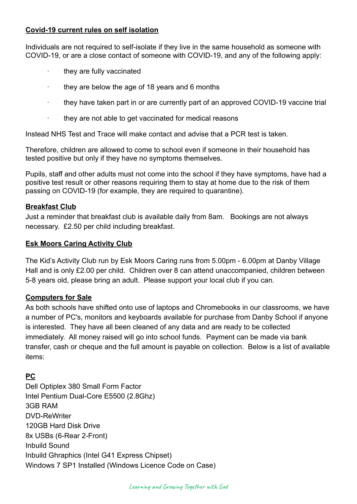### **Covid-19 current rules on self isolation**

Individuals are not required to self-isolate if they live in the same household as someone with COVID-19, or are a close contact of someone with COVID-19, and any of the following apply:

- · they are fully vaccinated
- they are below the age of 18 years and 6 months
- · they have taken part in or are currently part of an approved COVID-19 vaccine trial
- they are not able to get vaccinated for medical reasons

Instead NHS Test and Trace will make contact and advise that a PCR test is taken.

Therefore, children are allowed to come to school even if someone in their household has tested positive but only if they have no symptoms themselves.

Pupils, staff and other adults must not come into the school if they have symptoms, have had a positive test result or other reasons requiring them to stay at home due to the risk of them passing on COVID-19 (for example, they are required to quarantine).

#### **Breakfast Club**

Just a reminder that breakfast club is available daily from 8am. Bookings are not always necessary. £2.50 per child including breakfast.

#### **Esk Moors Caring Activity Club**

The Kid's Activity Club run by Esk Moors Caring runs from 5.00pm - 6.00pm at Danby Village Hall and is only £2.00 per child. Children over 8 can attend unaccompanied, children between 5-8 years old, please bring an adult. Please support your local club if you can.

#### **Computers for Sale**

As both schools have shifted onto use of laptops and Chromebooks in our classrooms, we have a number of PC's, monitors and keyboards available for purchase from Danby School if anyone is interested. They have all been cleaned of any data and are ready to be collected immediately. All money raised will go into school funds. Payment can be made via bank transfer, cash or cheque and the full amount is payable on collection. Below is a list of available items:

### **PC**

Dell Optiplex 380 Small Form Factor Intel Pentium Dual-Core E5500 (2.8Ghz) 3GB RAM DVD-ReWriter 120GB Hard Disk Drive 8x USBs (6-Rear 2-Front) Inbuild Sound Inbuild Ghraphics (Intel G41 Express Chipset) Windows 7 SP1 Installed (Windows Licence Code on Case)